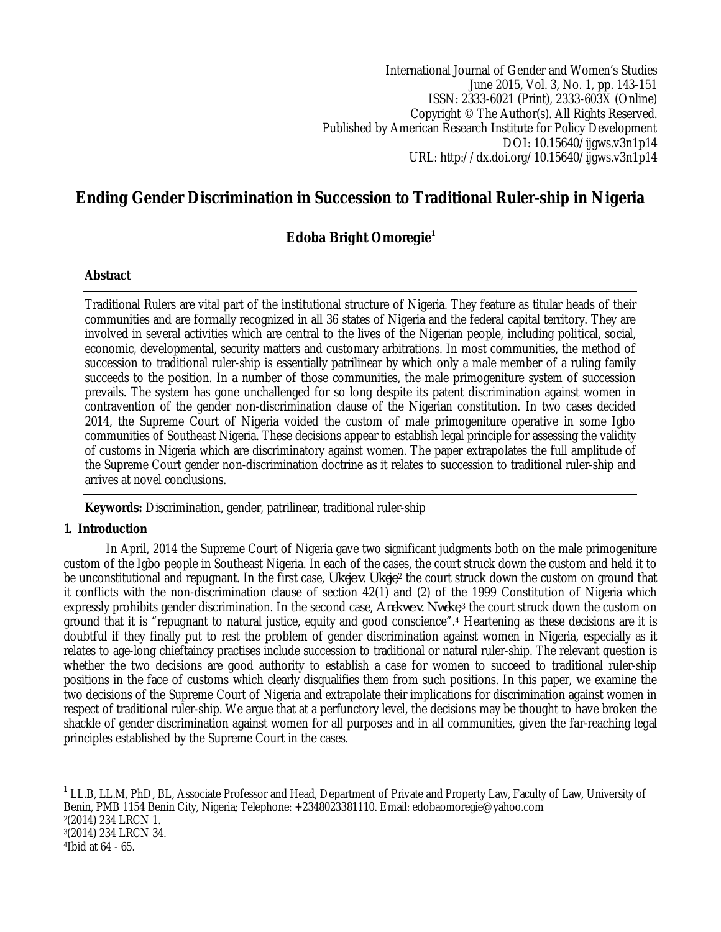International Journal of Gender and Women's Studies June 2015, Vol. 3, No. 1, pp. 143-151 ISSN: 2333-6021 (Print), 2333-603X (Online) Copyright © The Author(s). All Rights Reserved. Published by American Research Institute for Policy Development DOI: 10.15640/ijgws.v3n1p14 URL: http://dx.doi.org/10.15640/ijgws.v3n1p14

# **Ending Gender Discrimination in Succession to Traditional Ruler-ship in Nigeria**

## **Edoba Bright Omoregie<sup>1</sup>**

#### **Abstract**

Traditional Rulers are vital part of the institutional structure of Nigeria. They feature as titular heads of their communities and are formally recognized in all 36 states of Nigeria and the federal capital territory. They are involved in several activities which are central to the lives of the Nigerian people, including political, social, economic, developmental, security matters and customary arbitrations. In most communities, the method of succession to traditional ruler-ship is essentially patrilinear by which only a male member of a ruling family succeeds to the position. In a number of those communities, the male primogeniture system of succession prevails. The system has gone unchallenged for so long despite its patent discrimination against women in contravention of the gender non-discrimination clause of the Nigerian constitution. In two cases decided 2014, the Supreme Court of Nigeria voided the custom of male primogeniture operative in some Igbo communities of Southeast Nigeria. These decisions appear to establish legal principle for assessing the validity of customs in Nigeria which are discriminatory against women. The paper extrapolates the full amplitude of the Supreme Court gender non-discrimination doctrine as it relates to succession to traditional ruler-ship and arrives at novel conclusions.

**Keywords:** Discrimination, gender, patrilinear, traditional ruler-ship

## **1. Introduction**

In April, 2014 the Supreme Court of Nigeria gave two significant judgments both on the male primogeniture custom of the Igbo people in Southeast Nigeria. In each of the cases, the court struck down the custom and held it to be unconstitutional and repugnant. In the first case, *Ukeje v. Ukeje*,<sup>2</sup> the court struck down the custom on ground that it conflicts with the non-discrimination clause of section 42(1) and (2) of the 1999 Constitution of Nigeria which expressly prohibits gender discrimination. In the second case, *Anekwe v. Nweke*, <sup>3</sup> the court struck down the custom on ground that it is "repugnant to natural justice, equity and good conscience".<sup>4</sup> Heartening as these decisions are it is doubtful if they finally put to rest the problem of gender discrimination against women in Nigeria, especially as it relates to age-long chieftaincy practises include succession to traditional or natural ruler-ship. The relevant question is whether the two decisions are good authority to establish a case for women to succeed to traditional ruler-ship positions in the face of customs which clearly disqualifies them from such positions. In this paper, we examine the two decisions of the Supreme Court of Nigeria and extrapolate their implications for discrimination against women in respect of traditional ruler-ship. We argue that at a perfunctory level, the decisions may be thought to have broken the shackle of gender discrimination against women for all purposes and in all communities, given the far-reaching legal principles established by the Supreme Court in the cases.

 $\overline{a}$ 1 LL.B, LL.M, PhD, BL, Associate Professor and Head, Department of Private and Property Law, Faculty of Law, University of Benin, PMB 1154 Benin City, Nigeria; Telephone: +2348023381110. Email: edobaomoregie@yahoo.com 2 (2014) 234 LRCN 1. 3 (2014) 234 LRCN 34.

<sup>4</sup>Ibid at 64 - 65.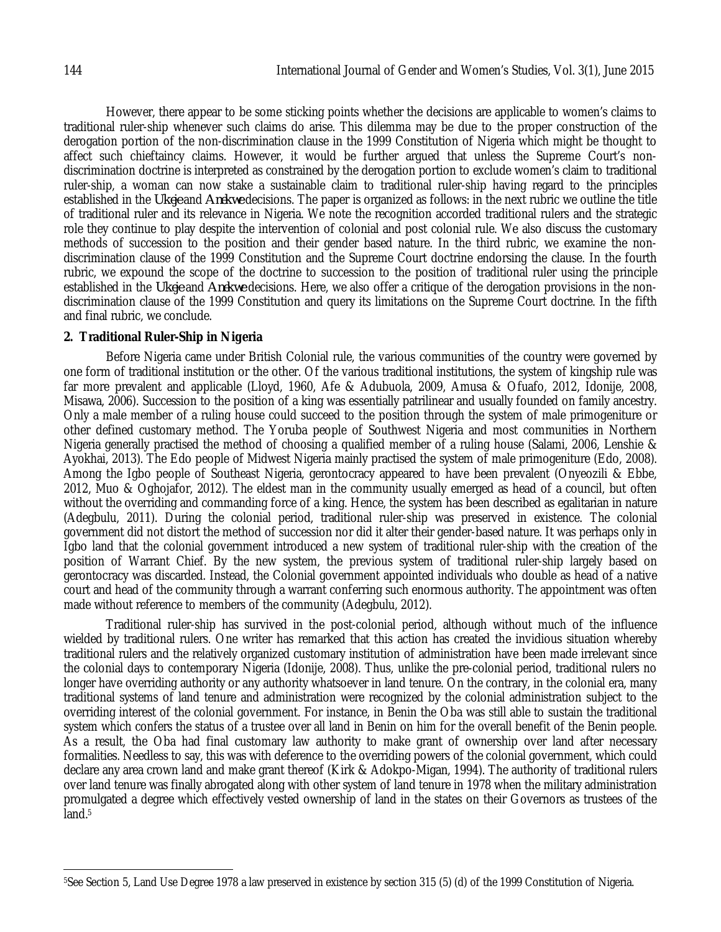However, there appear to be some sticking points whether the decisions are applicable to women's claims to traditional ruler-ship whenever such claims do arise. This dilemma may be due to the proper construction of the derogation portion of the non-discrimination clause in the 1999 Constitution of Nigeria which might be thought to affect such chieftaincy claims. However, it would be further argued that unless the Supreme Court's nondiscrimination doctrine is interpreted as constrained by the derogation portion to exclude women's claim to traditional ruler-ship, a woman can now stake a sustainable claim to traditional ruler-ship having regard to the principles established in the *Ukeje* and *Anekwe* decisions. The paper is organized as follows: in the next rubric we outline the title of traditional ruler and its relevance in Nigeria. We note the recognition accorded traditional rulers and the strategic role they continue to play despite the intervention of colonial and post colonial rule. We also discuss the customary methods of succession to the position and their gender based nature. In the third rubric, we examine the nondiscrimination clause of the 1999 Constitution and the Supreme Court doctrine endorsing the clause. In the fourth rubric, we expound the scope of the doctrine to succession to the position of traditional ruler using the principle established in the *Ukeje* and *Anekwe* decisions. Here, we also offer a critique of the derogation provisions in the nondiscrimination clause of the 1999 Constitution and query its limitations on the Supreme Court doctrine. In the fifth and final rubric, we conclude.

#### **2. Traditional Ruler-Ship in Nigeria**

Before Nigeria came under British Colonial rule, the various communities of the country were governed by one form of traditional institution or the other. Of the various traditional institutions, the system of kingship rule was far more prevalent and applicable (Lloyd, 1960, Afe & Adubuola, 2009, Amusa & Ofuafo, 2012, Idonije, 2008, Misawa, 2006). Succession to the position of a king was essentially patrilinear and usually founded on family ancestry. Only a male member of a ruling house could succeed to the position through the system of male primogeniture or other defined customary method. The Yoruba people of Southwest Nigeria and most communities in Northern Nigeria generally practised the method of choosing a qualified member of a ruling house (Salami, 2006, Lenshie & Ayokhai, 2013). The Edo people of Midwest Nigeria mainly practised the system of male primogeniture (Edo, 2008). Among the Igbo people of Southeast Nigeria, gerontocracy appeared to have been prevalent (Onyeozili & Ebbe, 2012, Muo & Oghojafor, 2012). The eldest man in the community usually emerged as head of a council, but often without the overriding and commanding force of a king. Hence, the system has been described as egalitarian in nature (Adegbulu, 2011). During the colonial period, traditional ruler-ship was preserved in existence. The colonial government did not distort the method of succession nor did it alter their gender-based nature. It was perhaps only in Igbo land that the colonial government introduced a new system of traditional ruler-ship with the creation of the position of Warrant Chief. By the new system, the previous system of traditional ruler-ship largely based on gerontocracy was discarded. Instead, the Colonial government appointed individuals who double as head of a native court and head of the community through a warrant conferring such enormous authority. The appointment was often made without reference to members of the community (Adegbulu, 2012).

Traditional ruler-ship has survived in the post-colonial period, although without much of the influence wielded by traditional rulers. One writer has remarked that this action has created the invidious situation whereby traditional rulers and the relatively organized customary institution of administration have been made irrelevant since the colonial days to contemporary Nigeria (Idonije, 2008). Thus, unlike the pre-colonial period, traditional rulers no longer have overriding authority or any authority whatsoever in land tenure. On the contrary, in the colonial era, many traditional systems of land tenure and administration were recognized by the colonial administration subject to the overriding interest of the colonial government. For instance, in Benin the Oba was still able to sustain the traditional system which confers the status of a trustee over all land in Benin on him for the overall benefit of the Benin people. As a result, the Oba had final customary law authority to make grant of ownership over land after necessary formalities. Needless to say, this was with deference to the overriding powers of the colonial government, which could declare any area crown land and make grant thereof (Kirk & Adokpo-Migan, 1994). The authority of traditional rulers over land tenure was finally abrogated along with other system of land tenure in 1978 when the military administration promulgated a degree which effectively vested ownership of land in the states on their Governors as trustees of the land.<sup>5</sup>

 $\overline{\phantom{a}}$ <sup>5</sup>See Section 5, Land Use Degree 1978 a law preserved in existence by section 315 (5) (d) of the 1999 Constitution of Nigeria.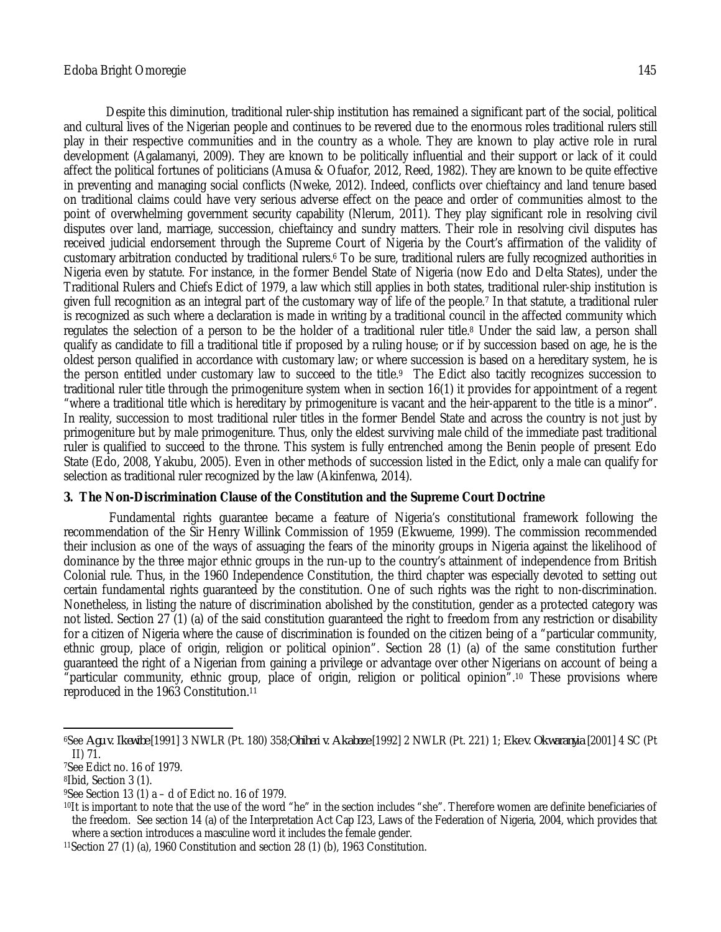Despite this diminution, traditional ruler-ship institution has remained a significant part of the social, political and cultural lives of the Nigerian people and continues to be revered due to the enormous roles traditional rulers still play in their respective communities and in the country as a whole. They are known to play active role in rural development (Agalamanyi, 2009). They are known to be politically influential and their support or lack of it could affect the political fortunes of politicians (Amusa & Ofuafor, 2012, Reed, 1982). They are known to be quite effective in preventing and managing social conflicts (Nweke, 2012). Indeed, conflicts over chieftaincy and land tenure based on traditional claims could have very serious adverse effect on the peace and order of communities almost to the point of overwhelming government security capability (Nlerum, 2011). They play significant role in resolving civil disputes over land, marriage, succession, chieftaincy and sundry matters. Their role in resolving civil disputes has received judicial endorsement through the Supreme Court of Nigeria by the Court's affirmation of the validity of customary arbitration conducted by traditional rulers.<sup>6</sup> To be sure, traditional rulers are fully recognized authorities in Nigeria even by statute. For instance, in the former Bendel State of Nigeria (now Edo and Delta States), under the Traditional Rulers and Chiefs Edict of 1979, a law which still applies in both states, traditional ruler-ship institution is given full recognition as an integral part of the customary way of life of the people.<sup>7</sup> In that statute, a traditional ruler is recognized as such where a declaration is made in writing by a traditional council in the affected community which regulates the selection of a person to be the holder of a traditional ruler title.<sup>8</sup> Under the said law, a person shall qualify as candidate to fill a traditional title if proposed by a ruling house; or if by succession based on age, he is the oldest person qualified in accordance with customary law; or where succession is based on a hereditary system, he is the person entitled under customary law to succeed to the title.9 The Edict also tacitly recognizes succession to traditional ruler title through the primogeniture system when in section 16(1) it provides for appointment of a regent "where a traditional title which is hereditary by primogeniture is vacant and the heir-apparent to the title is a minor". In reality, succession to most traditional ruler titles in the former Bendel State and across the country is not just by primogeniture but by male primogeniture. Thus, only the eldest surviving male child of the immediate past traditional ruler is qualified to succeed to the throne. This system is fully entrenched among the Benin people of present Edo State (Edo, 2008, Yakubu, 2005). Even in other methods of succession listed in the Edict, only a male can qualify for selection as traditional ruler recognized by the law (Akinfenwa, 2014).

## **3. The Non-Discrimination Clause of the Constitution and the Supreme Court Doctrine**

Fundamental rights guarantee became a feature of Nigeria's constitutional framework following the recommendation of the Sir Henry Willink Commission of 1959 (Ekwueme, 1999). The commission recommended their inclusion as one of the ways of assuaging the fears of the minority groups in Nigeria against the likelihood of dominance by the three major ethnic groups in the run-up to the country's attainment of independence from British Colonial rule. Thus, in the 1960 Independence Constitution, the third chapter was especially devoted to setting out certain fundamental rights guaranteed by the constitution. One of such rights was the right to non-discrimination. Nonetheless, in listing the nature of discrimination abolished by the constitution, gender as a protected category was not listed. Section 27 (1) (a) of the said constitution guaranteed the right to freedom from any restriction or disability for a citizen of Nigeria where the cause of discrimination is founded on the citizen being of a "particular community, ethnic group, place of origin, religion or political opinion". Section 28 (1) (a) of the same constitution further guaranteed the right of a Nigerian from gaining a privilege or advantage over other Nigerians on account of being a "particular community, ethnic group, place of origin, religion or political opinion".<sup>10</sup> These provisions where reproduced in the 1963 Constitution.<sup>11</sup>

 $\overline{a}$ 

<sup>6</sup>See *Agu v. Ikewibe* [1991] 3 NWLR (Pt. 180) 358;*Ohiheri v. Akabeze* [1992] 2 NWLR (Pt. 221) 1; *Eke v. Okwaranyia* [2001] 4 SC (Pt II) 71.

<sup>7</sup>See Edict no. 16 of 1979.

<sup>8</sup>Ibid, Section 3 (1).

 $9$ See Section 13 (1) a – d of Edict no. 16 of 1979.

<sup>10</sup>It is important to note that the use of the word "he" in the section includes "she". Therefore women are definite beneficiaries of the freedom. See section 14 (a) of the Interpretation Act Cap I23, Laws of the Federation of Nigeria, 2004, which provides that where a section introduces a masculine word it includes the female gender.

<sup>11</sup>Section 27 (1) (a), 1960 Constitution and section 28 (1) (b), 1963 Constitution.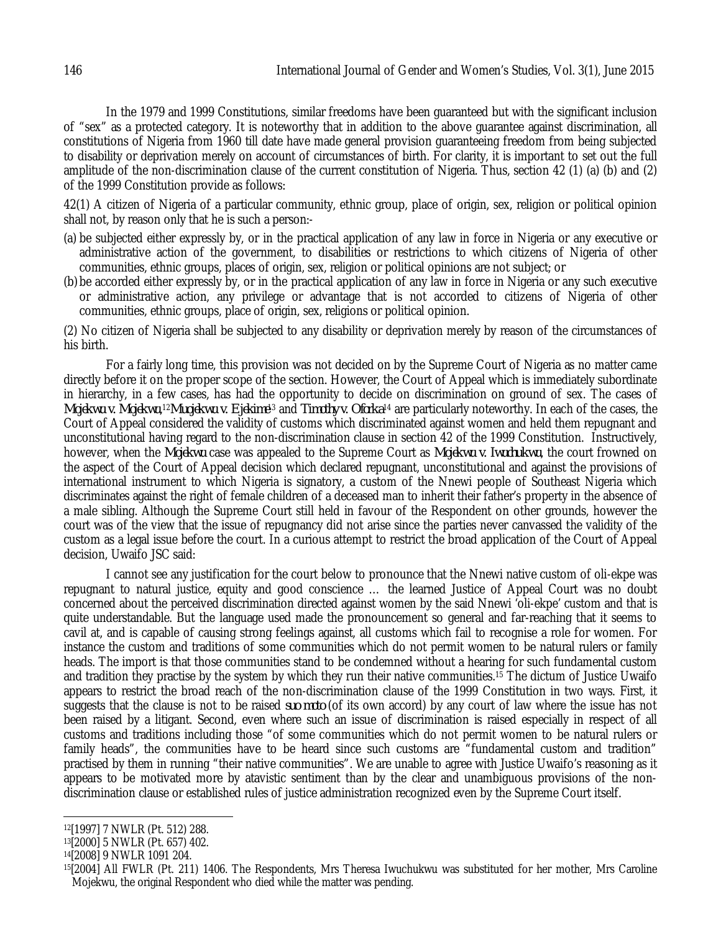In the 1979 and 1999 Constitutions, similar freedoms have been guaranteed but with the significant inclusion of "sex" as a protected category. It is noteworthy that in addition to the above guarantee against discrimination, all constitutions of Nigeria from 1960 till date have made general provision guaranteeing freedom from being subjected to disability or deprivation merely on account of circumstances of birth. For clarity, it is important to set out the full amplitude of the non-discrimination clause of the current constitution of Nigeria. Thus, section 42 (1) (a) (b) and (2) of the 1999 Constitution provide as follows:

42(1) A citizen of Nigeria of a particular community, ethnic group, place of origin, sex, religion or political opinion shall not, by reason only that he is such a person:-

- (a) be subjected either expressly by, or in the practical application of any law in force in Nigeria or any executive or administrative action of the government, to disabilities or restrictions to which citizens of Nigeria of other communities, ethnic groups, places of origin, sex, religion or political opinions are not subject; or
- (b) be accorded either expressly by, or in the practical application of any law in force in Nigeria or any such executive or administrative action, any privilege or advantage that is not accorded to citizens of Nigeria of other communities, ethnic groups, place of origin, sex, religions or political opinion.

(2) No citizen of Nigeria shall be subjected to any disability or deprivation merely by reason of the circumstances of his birth.

For a fairly long time, this provision was not decided on by the Supreme Court of Nigeria as no matter came directly before it on the proper scope of the section. However, the Court of Appeal which is immediately subordinate in hierarchy, in a few cases, has had the opportunity to decide on discrimination on ground of sex. The cases of *Mojekwu v. Mojekwu,*12*Muojekwu v. Ejekime*13 and *Timothy v. Oforka*14 are particularly noteworthy. In each of the cases, the Court of Appeal considered the validity of customs which discriminated against women and held them repugnant and unconstitutional having regard to the non-discrimination clause in section 42 of the 1999 Constitution. Instructively, however, when the *Mojekwu* case was appealed to the Supreme Court as *Mojekwu v. Iwuchukwu*, the court frowned on the aspect of the Court of Appeal decision which declared repugnant, unconstitutional and against the provisions of international instrument to which Nigeria is signatory, a custom of the Nnewi people of Southeast Nigeria which discriminates against the right of female children of a deceased man to inherit their father's property in the absence of a male sibling. Although the Supreme Court still held in favour of the Respondent on other grounds, however the court was of the view that the issue of repugnancy did not arise since the parties never canvassed the validity of the custom as a legal issue before the court. In a curious attempt to restrict the broad application of the Court of Appeal decision, Uwaifo JSC said:

I cannot see any justification for the court below to pronounce that the Nnewi native custom of oli-ekpe was repugnant to natural justice, equity and good conscience … the learned Justice of Appeal Court was no doubt concerned about the perceived discrimination directed against women by the said Nnewi 'oli-ekpe' custom and that is quite understandable. But the language used made the pronouncement so general and far-reaching that it seems to cavil at, and is capable of causing strong feelings against, all customs which fail to recognise a role for women. For instance the custom and traditions of some communities which do not permit women to be natural rulers or family heads. The import is that those communities stand to be condemned without a hearing for such fundamental custom and tradition they practise by the system by which they run their native communities.<sup>15</sup> The dictum of Justice Uwaifo appears to restrict the broad reach of the non-discrimination clause of the 1999 Constitution in two ways. First, it suggests that the clause is not to be raised *suo moto* (of its own accord) by any court of law where the issue has not been raised by a litigant. Second, even where such an issue of discrimination is raised especially in respect of all customs and traditions including those "of some communities which do not permit women to be natural rulers or family heads", the communities have to be heard since such customs are "fundamental custom and tradition" practised by them in running "their native communities". We are unable to agree with Justice Uwaifo's reasoning as it appears to be motivated more by atavistic sentiment than by the clear and unambiguous provisions of the nondiscrimination clause or established rules of justice administration recognized even by the Supreme Court itself.

 $\overline{a}$ <sup>12</sup>[1997] 7 NWLR (Pt. 512) 288.

<sup>13</sup>[2000] 5 NWLR (Pt. 657) 402.

<sup>14</sup>[2008] 9 NWLR 1091 204.

<sup>15</sup>[2004] All FWLR (Pt. 211) 1406. The Respondents, Mrs Theresa Iwuchukwu was substituted for her mother, Mrs Caroline Mojekwu, the original Respondent who died while the matter was pending.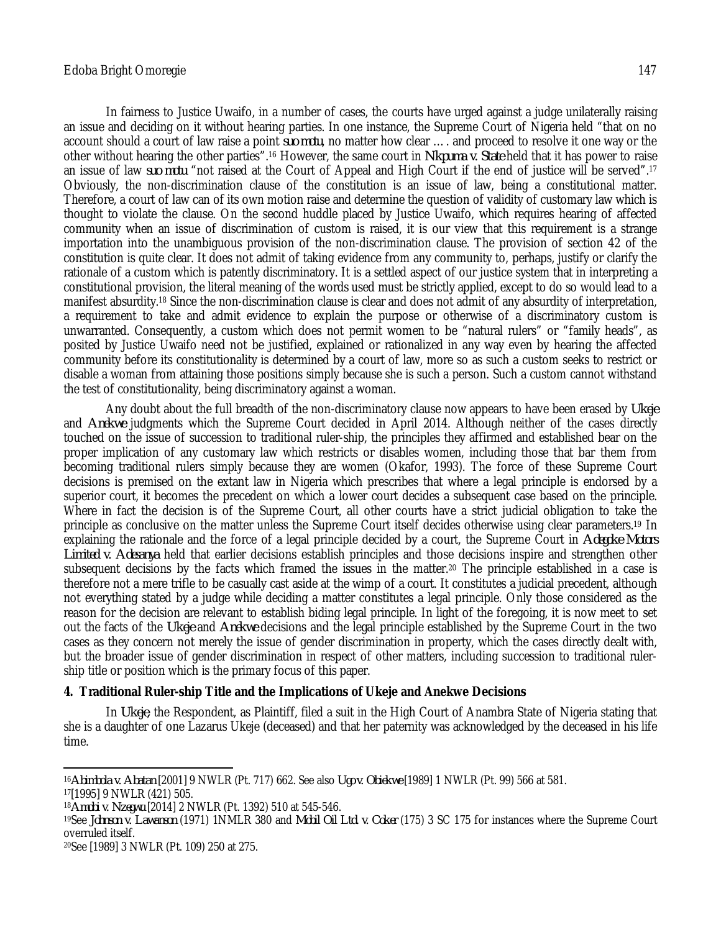In fairness to Justice Uwaifo, in a number of cases, the courts have urged against a judge unilaterally raising an issue and deciding on it without hearing parties. In one instance, the Supreme Court of Nigeria held "that on no account should a court of law raise a point *suo motu*, no matter how clear …. and proceed to resolve it one way or the other without hearing the other parties".<sup>16</sup> However, the same court in *Nkpuma v. State* held that it has power to raise an issue of law *suo motu* "not raised at the Court of Appeal and High Court if the end of justice will be served".<sup>17</sup> Obviously, the non-discrimination clause of the constitution is an issue of law, being a constitutional matter. Therefore, a court of law can of its own motion raise and determine the question of validity of customary law which is thought to violate the clause. On the second huddle placed by Justice Uwaifo, which requires hearing of affected community when an issue of discrimination of custom is raised, it is our view that this requirement is a strange importation into the unambiguous provision of the non-discrimination clause. The provision of section 42 of the constitution is quite clear. It does not admit of taking evidence from any community to, perhaps, justify or clarify the rationale of a custom which is patently discriminatory. It is a settled aspect of our justice system that in interpreting a constitutional provision, the literal meaning of the words used must be strictly applied, except to do so would lead to a manifest absurdity.<sup>18</sup> Since the non-discrimination clause is clear and does not admit of any absurdity of interpretation, a requirement to take and admit evidence to explain the purpose or otherwise of a discriminatory custom is unwarranted. Consequently, a custom which does not permit women to be "natural rulers" or "family heads", as posited by Justice Uwaifo need not be justified, explained or rationalized in any way even by hearing the affected community before its constitutionality is determined by a court of law, more so as such a custom seeks to restrict or disable a woman from attaining those positions simply because she is such a person. Such a custom cannot withstand the test of constitutionality, being discriminatory against a woman.

Any doubt about the full breadth of the non-discriminatory clause now appears to have been erased by *Ukeje* and *Anekwe* judgments which the Supreme Court decided in April 2014. Although neither of the cases directly touched on the issue of succession to traditional ruler-ship, the principles they affirmed and established bear on the proper implication of any customary law which restricts or disables women, including those that bar them from becoming traditional rulers simply because they are women (Okafor, 1993). The force of these Supreme Court decisions is premised on the extant law in Nigeria which prescribes that where a legal principle is endorsed by a superior court, it becomes the precedent on which a lower court decides a subsequent case based on the principle. Where in fact the decision is of the Supreme Court, all other courts have a strict judicial obligation to take the principle as conclusive on the matter unless the Supreme Court itself decides otherwise using clear parameters.<sup>19</sup> In explaining the rationale and the force of a legal principle decided by a court, the Supreme Court in *Adegoke Motors Limited v. Adesanya* held that earlier decisions establish principles and those decisions inspire and strengthen other subsequent decisions by the facts which framed the issues in the matter.<sup>20</sup> The principle established in a case is therefore not a mere trifle to be casually cast aside at the wimp of a court. It constitutes a judicial precedent, although not everything stated by a judge while deciding a matter constitutes a legal principle. Only those considered as the reason for the decision are relevant to establish biding legal principle. In light of the foregoing, it is now meet to set out the facts of the *Ukeje* and *Anekwe* decisions and the legal principle established by the Supreme Court in the two cases as they concern not merely the issue of gender discrimination in property, which the cases directly dealt with, but the broader issue of gender discrimination in respect of other matters, including succession to traditional rulership title or position which is the primary focus of this paper.

## **4. Traditional Ruler-ship Title and the Implications of Ukeje and Anekwe Decisions**

In *Ukeje*, the Respondent, as Plaintiff, filed a suit in the High Court of Anambra State of Nigeria stating that she is a daughter of one Lazarus Ukeje (deceased) and that her paternity was acknowledged by the deceased in his life time.

 $\overline{a}$ <sup>16</sup>*Abimbola v. Abatan* [2001] 9 NWLR (Pt. 717) 662. See also *Ugo v. Obiekwe* [1989] 1 NWLR (Pt. 99) 566 at 581.

<sup>17</sup>[1995] 9 NWLR (421) 505.

<sup>18</sup>*Amobi v. Nzegwu* [2014] 2 NWLR (Pt. 1392) 510 at 545-546.

<sup>19</sup>See *Johnson v. Lawanson* (1971) 1NMLR 380 and *Mobil Oil Ltd. v. Coker* (175) 3 SC 175 for instances where the Supreme Court overruled itself.

<sup>20</sup>See [1989] 3 NWLR (Pt. 109) 250 at 275.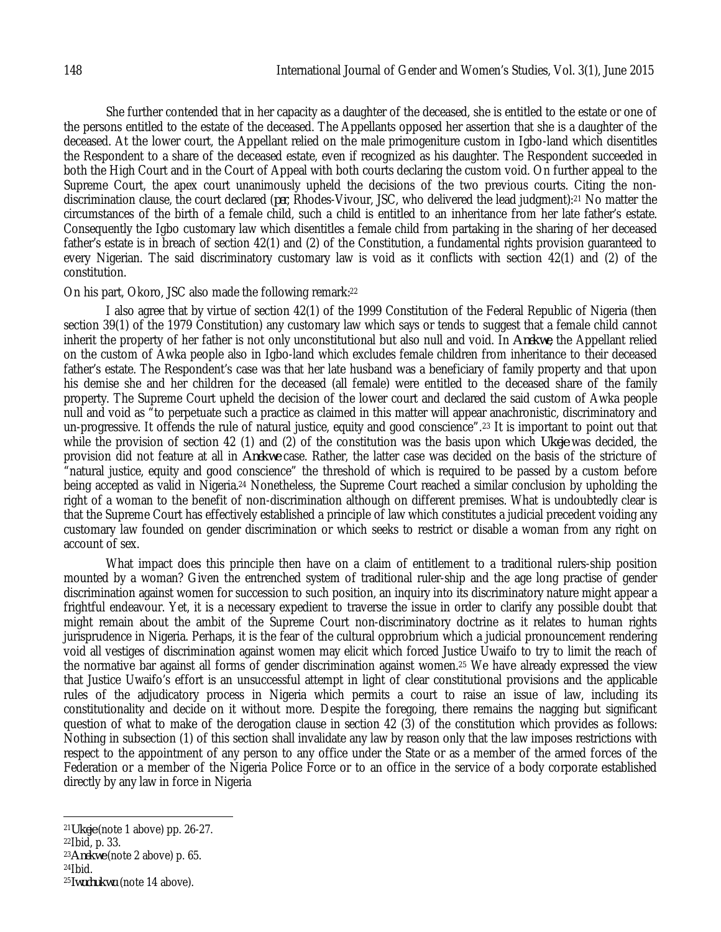She further contended that in her capacity as a daughter of the deceased, she is entitled to the estate or one of the persons entitled to the estate of the deceased. The Appellants opposed her assertion that she is a daughter of the deceased. At the lower court, the Appellant relied on the male primogeniture custom in Igbo-land which disentitles the Respondent to a share of the deceased estate, even if recognized as his daughter. The Respondent succeeded in both the High Court and in the Court of Appeal with both courts declaring the custom void. On further appeal to the Supreme Court, the apex court unanimously upheld the decisions of the two previous courts. Citing the nondiscrimination clause, the court declared (*per*, Rhodes-Vivour, JSC, who delivered the lead judgment):<sup>21</sup> No matter the circumstances of the birth of a female child, such a child is entitled to an inheritance from her late father's estate. Consequently the Igbo customary law which disentitles a female child from partaking in the sharing of her deceased father's estate is in breach of section 42(1) and (2) of the Constitution, a fundamental rights provision guaranteed to every Nigerian. The said discriminatory customary law is void as it conflicts with section 42(1) and (2) of the constitution.

#### On his part, Okoro, JSC also made the following remark:<sup>22</sup>

I also agree that by virtue of section 42(1) of the 1999 Constitution of the Federal Republic of Nigeria (then section 39(1) of the 1979 Constitution) any customary law which says or tends to suggest that a female child cannot inherit the property of her father is not only unconstitutional but also null and void. In *Anekwe*, the Appellant relied on the custom of Awka people also in Igbo-land which excludes female children from inheritance to their deceased father's estate. The Respondent's case was that her late husband was a beneficiary of family property and that upon his demise she and her children for the deceased (all female) were entitled to the deceased share of the family property. The Supreme Court upheld the decision of the lower court and declared the said custom of Awka people null and void as "to perpetuate such a practice as claimed in this matter will appear anachronistic, discriminatory and un-progressive. It offends the rule of natural justice, equity and good conscience".<sup>23</sup> It is important to point out that while the provision of section 42 (1) and (2) of the constitution was the basis upon which *Ukeje* was decided, the provision did not feature at all in *Anekwe* case. Rather, the latter case was decided on the basis of the stricture of "natural justice, equity and good conscience" the threshold of which is required to be passed by a custom before being accepted as valid in Nigeria.<sup>24</sup> Nonetheless, the Supreme Court reached a similar conclusion by upholding the right of a woman to the benefit of non-discrimination although on different premises. What is undoubtedly clear is that the Supreme Court has effectively established a principle of law which constitutes a judicial precedent voiding any customary law founded on gender discrimination or which seeks to restrict or disable a woman from any right on account of sex.

What impact does this principle then have on a claim of entitlement to a traditional rulers-ship position mounted by a woman? Given the entrenched system of traditional ruler-ship and the age long practise of gender discrimination against women for succession to such position, an inquiry into its discriminatory nature might appear a frightful endeavour. Yet, it is a necessary expedient to traverse the issue in order to clarify any possible doubt that might remain about the ambit of the Supreme Court non-discriminatory doctrine as it relates to human rights jurisprudence in Nigeria. Perhaps, it is the fear of the cultural opprobrium which a judicial pronouncement rendering void all vestiges of discrimination against women may elicit which forced Justice Uwaifo to try to limit the reach of the normative bar against all forms of gender discrimination against women.<sup>25</sup> We have already expressed the view that Justice Uwaifo's effort is an unsuccessful attempt in light of clear constitutional provisions and the applicable rules of the adjudicatory process in Nigeria which permits a court to raise an issue of law, including its constitutionality and decide on it without more. Despite the foregoing, there remains the nagging but significant question of what to make of the derogation clause in section 42 (3) of the constitution which provides as follows: Nothing in subsection (1) of this section shall invalidate any law by reason only that the law imposes restrictions with respect to the appointment of any person to any office under the State or as a member of the armed forces of the Federation or a member of the Nigeria Police Force or to an office in the service of a body corporate established directly by any law in force in Nigeria

<sup>22</sup>Ibid, p. 33.

 $24$  | bid.

 $\overline{a}$ 

<sup>21</sup>*Ukeje* (note 1 above) pp. 26-27.

<sup>23</sup>*Anekwe* (note 2 above) p. 65.

<sup>25</sup>*Iwuchukwu* (note 14 above).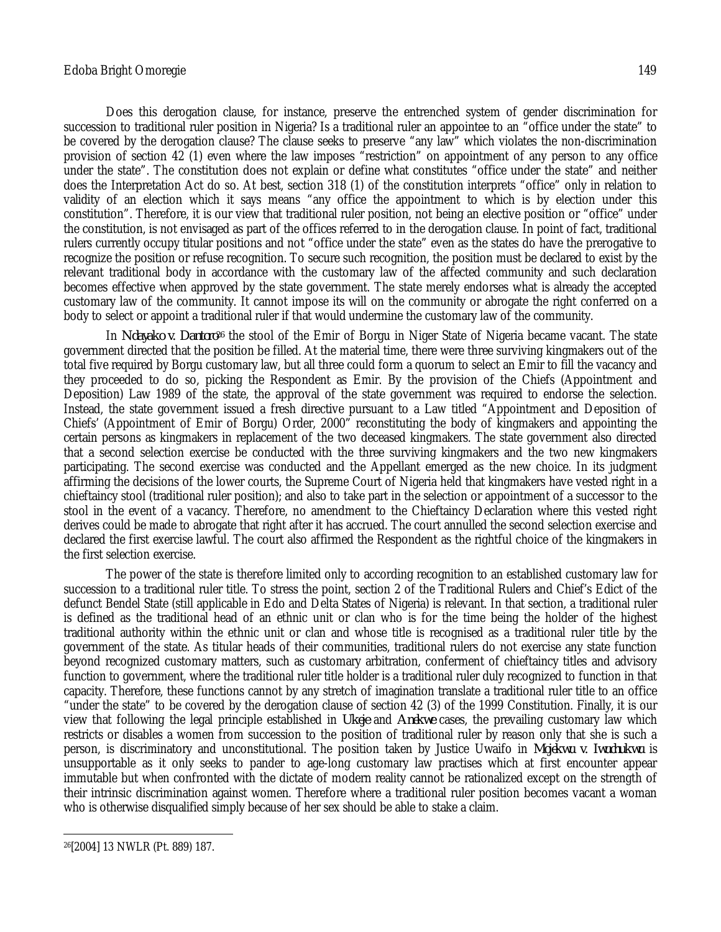#### Edoba Bright Omoregie 149

Does this derogation clause, for instance, preserve the entrenched system of gender discrimination for succession to traditional ruler position in Nigeria? Is a traditional ruler an appointee to an "office under the state" to be covered by the derogation clause? The clause seeks to preserve "any law" which violates the non-discrimination provision of section 42 (1) even where the law imposes "restriction" on appointment of any person to any office under the state". The constitution does not explain or define what constitutes "office under the state" and neither does the Interpretation Act do so. At best, section 318 (1) of the constitution interprets "office" only in relation to validity of an election which it says means "any office the appointment to which is by election under this constitution". Therefore, it is our view that traditional ruler position, not being an elective position or "office" under the constitution, is not envisaged as part of the offices referred to in the derogation clause. In point of fact, traditional rulers currently occupy titular positions and not "office under the state" even as the states do have the prerogative to recognize the position or refuse recognition. To secure such recognition, the position must be declared to exist by the relevant traditional body in accordance with the customary law of the affected community and such declaration becomes effective when approved by the state government. The state merely endorses what is already the accepted

In *Ndayako v. Dantoro<sup>26</sup>* the stool of the Emir of Borgu in Niger State of Nigeria became vacant. The state government directed that the position be filled. At the material time, there were three surviving kingmakers out of the total five required by Borgu customary law, but all three could form a quorum to select an Emir to fill the vacancy and they proceeded to do so, picking the Respondent as Emir. By the provision of the Chiefs (Appointment and Deposition) Law 1989 of the state, the approval of the state government was required to endorse the selection. Instead, the state government issued a fresh directive pursuant to a Law titled "Appointment and Deposition of Chiefs' (Appointment of Emir of Borgu) Order, 2000" reconstituting the body of kingmakers and appointing the certain persons as kingmakers in replacement of the two deceased kingmakers. The state government also directed that a second selection exercise be conducted with the three surviving kingmakers and the two new kingmakers participating. The second exercise was conducted and the Appellant emerged as the new choice. In its judgment affirming the decisions of the lower courts, the Supreme Court of Nigeria held that kingmakers have vested right in a chieftaincy stool (traditional ruler position); and also to take part in the selection or appointment of a successor to the stool in the event of a vacancy. Therefore, no amendment to the Chieftaincy Declaration where this vested right derives could be made to abrogate that right after it has accrued. The court annulled the second selection exercise and declared the first exercise lawful. The court also affirmed the Respondent as the rightful choice of the kingmakers in the first selection exercise.

customary law of the community. It cannot impose its will on the community or abrogate the right conferred on a

body to select or appoint a traditional ruler if that would undermine the customary law of the community.

The power of the state is therefore limited only to according recognition to an established customary law for succession to a traditional ruler title. To stress the point, section 2 of the Traditional Rulers and Chief's Edict of the defunct Bendel State (still applicable in Edo and Delta States of Nigeria) is relevant. In that section, a traditional ruler is defined as the traditional head of an ethnic unit or clan who is for the time being the holder of the highest traditional authority within the ethnic unit or clan and whose title is recognised as a traditional ruler title by the government of the state. As titular heads of their communities, traditional rulers do not exercise any state function beyond recognized customary matters, such as customary arbitration, conferment of chieftaincy titles and advisory function to government, where the traditional ruler title holder is a traditional ruler duly recognized to function in that capacity. Therefore, these functions cannot by any stretch of imagination translate a traditional ruler title to an office "under the state" to be covered by the derogation clause of section 42 (3) of the 1999 Constitution. Finally, it is our view that following the legal principle established in *Ukeje* and *Anekwe* cases, the prevailing customary law which restricts or disables a women from succession to the position of traditional ruler by reason only that she is such a person, is discriminatory and unconstitutional. The position taken by Justice Uwaifo in *Mojekwu v. Iwuchukwu* is unsupportable as it only seeks to pander to age-long customary law practises which at first encounter appear immutable but when confronted with the dictate of modern reality cannot be rationalized except on the strength of their intrinsic discrimination against women. Therefore where a traditional ruler position becomes vacant a woman who is otherwise disqualified simply because of her sex should be able to stake a claim.

 $\overline{a}$ 26[2004] 13 NWLR (Pt. 889) 187.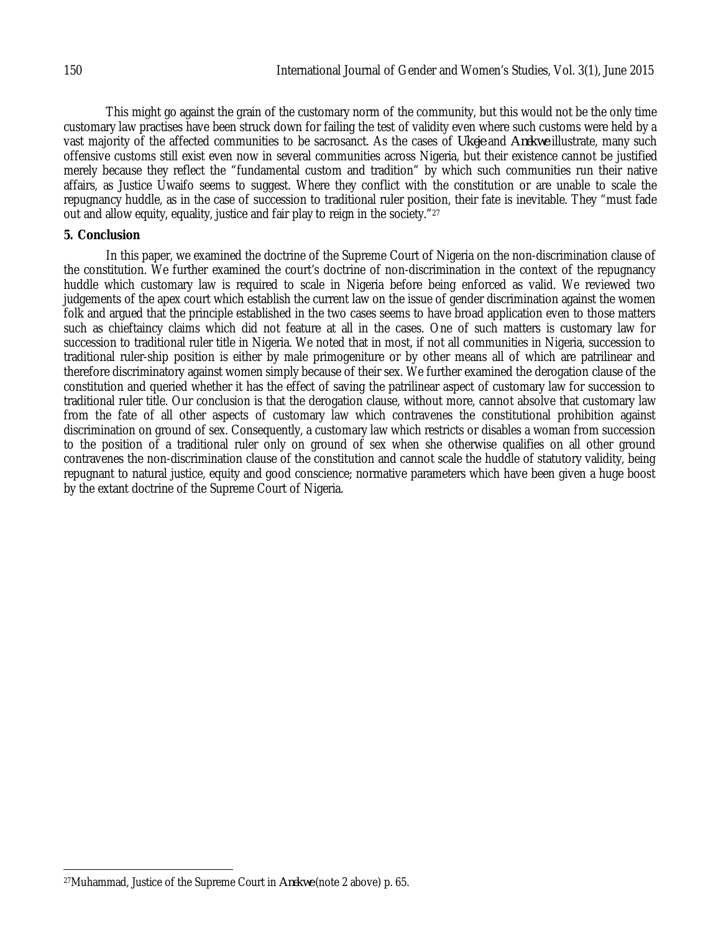This might go against the grain of the customary norm of the community, but this would not be the only time customary law practises have been struck down for failing the test of validity even where such customs were held by a vast majority of the affected communities to be sacrosanct. As the cases of *Ukeje* and *Anekwe* illustrate, many such offensive customs still exist even now in several communities across Nigeria, but their existence cannot be justified merely because they reflect the "fundamental custom and tradition" by which such communities run their native affairs, as Justice Uwaifo seems to suggest. Where they conflict with the constitution or are unable to scale the repugnancy huddle, as in the case of succession to traditional ruler position, their fate is inevitable. They "must fade out and allow equity, equality, justice and fair play to reign in the society."<sup>27</sup>

## **5. Conclusion**

In this paper, we examined the doctrine of the Supreme Court of Nigeria on the non-discrimination clause of the constitution. We further examined the court's doctrine of non-discrimination in the context of the repugnancy huddle which customary law is required to scale in Nigeria before being enforced as valid. We reviewed two judgements of the apex court which establish the current law on the issue of gender discrimination against the women folk and argued that the principle established in the two cases seems to have broad application even to those matters such as chieftaincy claims which did not feature at all in the cases. One of such matters is customary law for succession to traditional ruler title in Nigeria. We noted that in most, if not all communities in Nigeria, succession to traditional ruler-ship position is either by male primogeniture or by other means all of which are patrilinear and therefore discriminatory against women simply because of their sex. We further examined the derogation clause of the constitution and queried whether it has the effect of saving the patrilinear aspect of customary law for succession to traditional ruler title. Our conclusion is that the derogation clause, without more, cannot absolve that customary law from the fate of all other aspects of customary law which contravenes the constitutional prohibition against discrimination on ground of sex. Consequently, a customary law which restricts or disables a woman from succession to the position of a traditional ruler only on ground of sex when she otherwise qualifies on all other ground contravenes the non-discrimination clause of the constitution and cannot scale the huddle of statutory validity, being repugnant to natural justice, equity and good conscience; normative parameters which have been given a huge boost by the extant doctrine of the Supreme Court of Nigeria.

 $\overline{\phantom{a}}$ <sup>27</sup>Muhammad, Justice of the Supreme Court in *Anekwe* (note 2 above) p. 65.